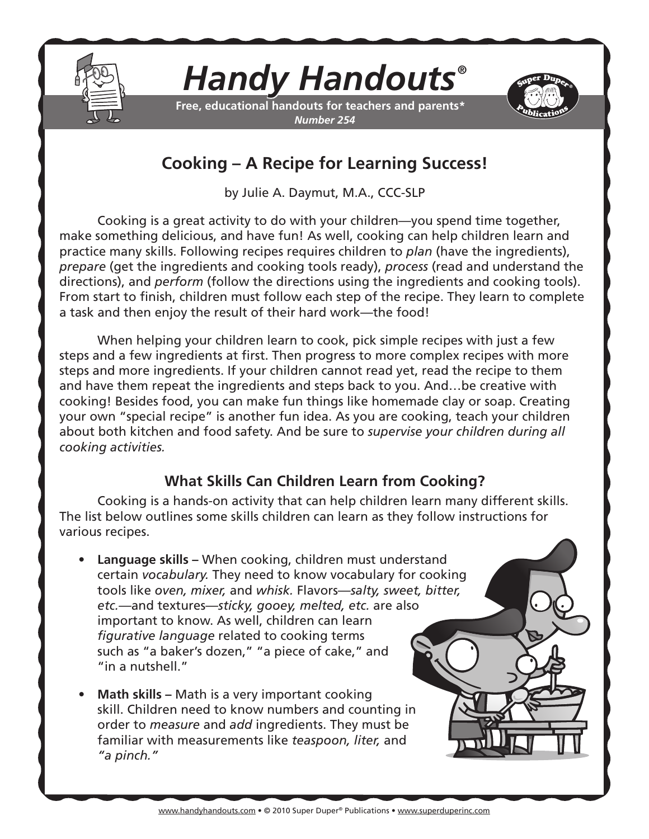

## *Handy Handouts®*

**Free, educational handouts for teachers and parents\*** *Number 254*



## **Cooking – A Recipe for Learning Success!**

by Julie A. Daymut, M.A., CCC-SLP

Cooking is a great activity to do with your children—you spend time together, make something delicious, and have fun! As well, cooking can help children learn and practice many skills. Following recipes requires children to *plan* (have the ingredients), *prepare* (get the ingredients and cooking tools ready), *process* (read and understand the directions), and *perform* (follow the directions using the ingredients and cooking tools). From start to finish, children must follow each step of the recipe. They learn to complete a task and then enjoy the result of their hard work—the food!

When helping your children learn to cook, pick simple recipes with just a few steps and a few ingredients at first. Then progress to more complex recipes with more steps and more ingredients. If your children cannot read yet, read the recipe to them and have them repeat the ingredients and steps back to you. And…be creative with cooking! Besides food, you can make fun things like homemade clay or soap. Creating your own "special recipe" is another fun idea. As you are cooking, teach your children about both kitchen and food safety. And be sure to *supervise your children during all cooking activities.*

## **What Skills Can Children Learn from Cooking?**

Cooking is a hands-on activity that can help children learn many different skills. The list below outlines some skills children can learn as they follow instructions for various recipes.

- **Language skills –** When cooking, children must understand certain *vocabulary.* They need to know vocabulary for cooking tools like *oven, mixer,* and *whisk.* Flavors—*salty, sweet, bitter, etc.—*and textures—*sticky, gooey, melted, etc.* are also important to know. As well, children can learn *figurative language* related to cooking terms such as "a baker's dozen," "a piece of cake," and "in a nutshell."
- **Math skills –** Math is a very important cooking skill. Children need to know numbers and counting in order to *measure* and *add* ingredients. They must be familiar with measurements like *teaspoon, liter,* and *"a pinch."*